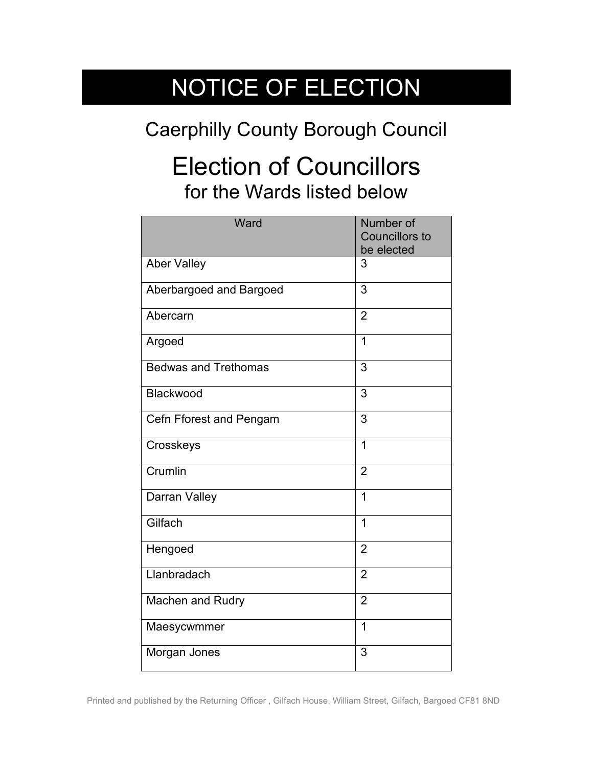## NOTICE OF ELECTION

## Caerphilly County Borough Council

## Election of Councillors for the Wards listed below

| Ward                        | Number of<br><b>Councillors to</b><br>be elected |
|-----------------------------|--------------------------------------------------|
| <b>Aber Valley</b>          | 3                                                |
| Aberbargoed and Bargoed     | 3                                                |
| Abercarn                    | $\overline{2}$                                   |
| Argoed                      | $\mathbf{1}$                                     |
| <b>Bedwas and Trethomas</b> | 3                                                |
| Blackwood                   | 3                                                |
| Cefn Fforest and Pengam     | 3                                                |
| Crosskeys                   | $\overline{1}$                                   |
| Crumlin                     | $\overline{2}$                                   |
| Darran Valley               | $\overline{1}$                                   |
| Gilfach                     | 1                                                |
| Hengoed                     | $\overline{2}$                                   |
| Llanbradach                 | $\overline{2}$                                   |
| Machen and Rudry            | $\overline{2}$                                   |
| Maesycwmmer                 | $\overline{1}$                                   |
| Morgan Jones                | 3                                                |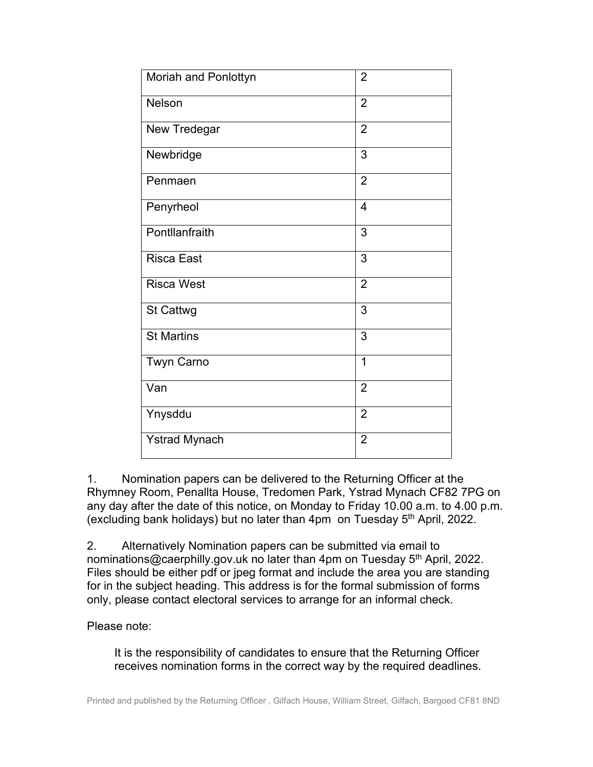| Moriah and Ponlottyn | $\overline{2}$ |
|----------------------|----------------|
| <b>Nelson</b>        | $\overline{2}$ |
| New Tredegar         | $\overline{2}$ |
| Newbridge            | 3              |
| Penmaen              | $\overline{2}$ |
| Penyrheol            | $\overline{4}$ |
| Pontllanfraith       | 3              |
| <b>Risca East</b>    | 3              |
| <b>Risca West</b>    | $\overline{2}$ |
| <b>St Cattwg</b>     | 3              |
| <b>St Martins</b>    | 3              |
| <b>Twyn Carno</b>    | 1              |
| Van                  | $\overline{2}$ |
| Ynysddu              | $\overline{2}$ |
| <b>Ystrad Mynach</b> | $\overline{2}$ |

1. Nomination papers can be delivered to the Returning Officer at the Rhymney Room, Penallta House, Tredomen Park, Ystrad Mynach CF82 7PG on any day after the date of this notice, on Monday to Friday 10.00 a.m. to 4.00 p.m. (excluding bank holidays) but no later than  $4$ pm on Tuesday  $5<sup>th</sup>$  April, 2022.

2. Alternatively Nomination papers can be submitted via email to nominations@caerphilly.gov.uk no later than 4pm on Tuesday 5<sup>th</sup> April, 2022. Files should be either pdf or jpeg format and include the area you are standing for in the subject heading. This address is for the formal submission of forms only, please contact electoral services to arrange for an informal check.

## Please note:

It is the responsibility of candidates to ensure that the Returning Officer receives nomination forms in the correct way by the required deadlines.